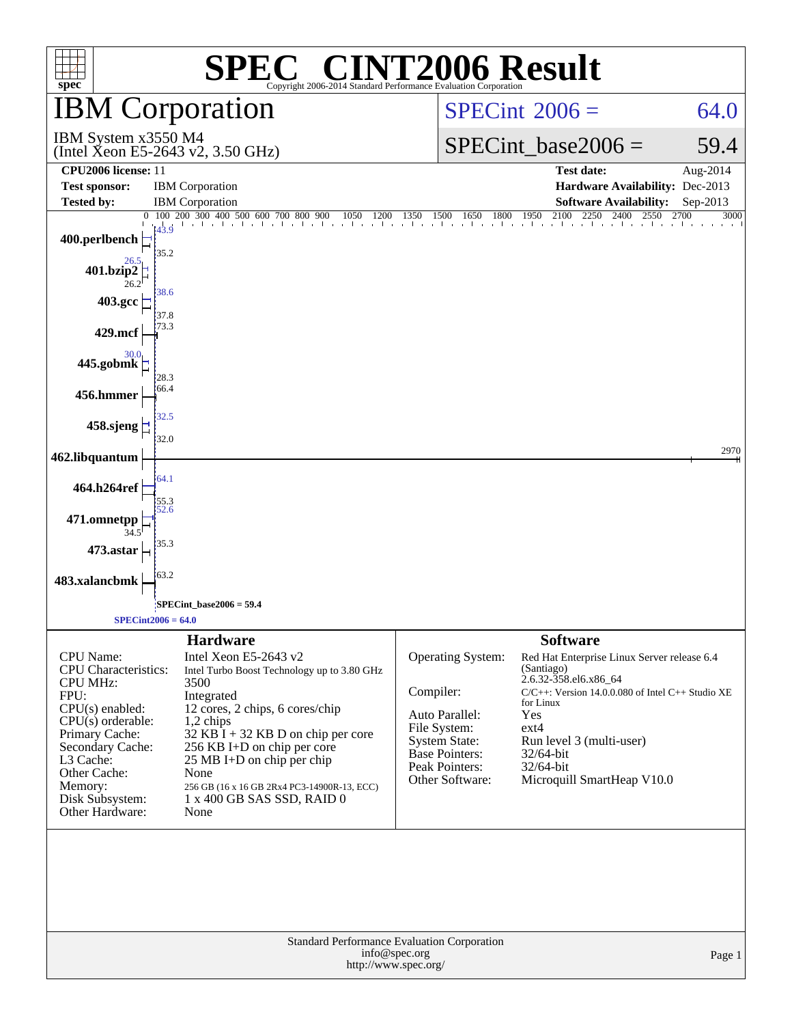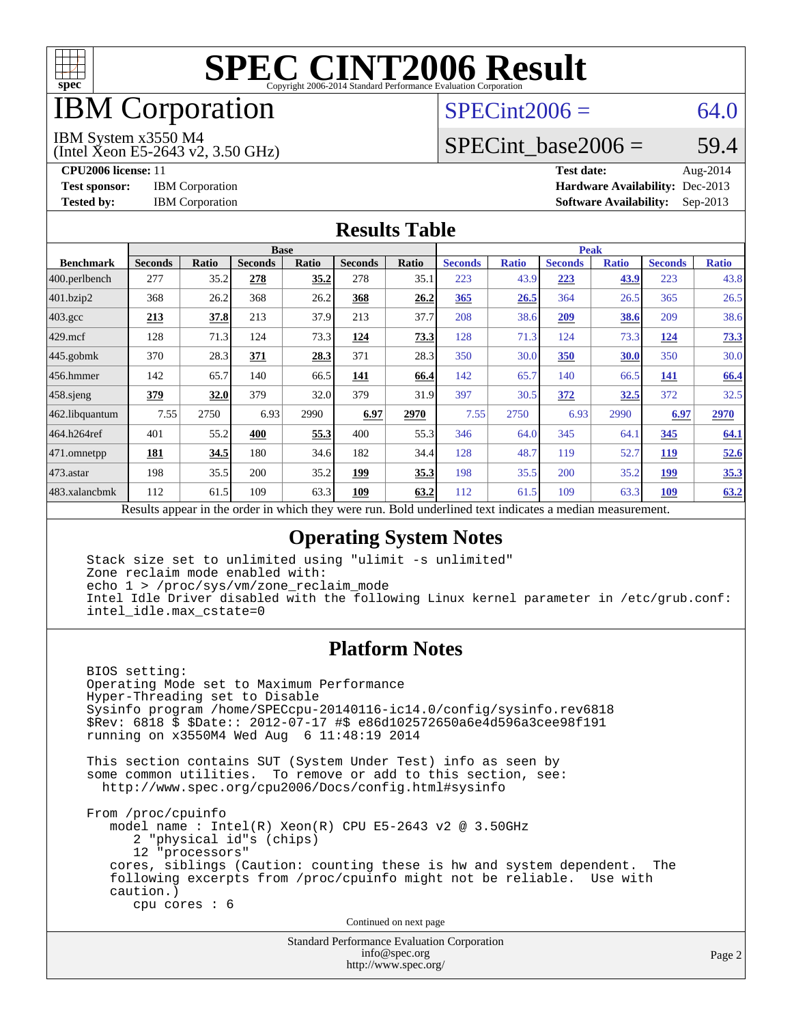

### IBM Corporation

#### $SPECint2006 = 64.0$  $SPECint2006 = 64.0$

IBM System x3550 M4

(Intel Xeon E5-2643 v2, 3.50 GHz)

SPECint base2006 =  $59.4$ 

**[CPU2006 license:](http://www.spec.org/auto/cpu2006/Docs/result-fields.html#CPU2006license)** 11 **[Test date:](http://www.spec.org/auto/cpu2006/Docs/result-fields.html#Testdate)** Aug-2014 **[Test sponsor:](http://www.spec.org/auto/cpu2006/Docs/result-fields.html#Testsponsor)** IBM Corporation **[Hardware Availability:](http://www.spec.org/auto/cpu2006/Docs/result-fields.html#HardwareAvailability)** Dec-2013 **[Tested by:](http://www.spec.org/auto/cpu2006/Docs/result-fields.html#Testedby)** IBM Corporation **[Software Availability:](http://www.spec.org/auto/cpu2006/Docs/result-fields.html#SoftwareAvailability)** Sep-2013

#### **[Results Table](http://www.spec.org/auto/cpu2006/Docs/result-fields.html#ResultsTable)**

|                    | <b>Base</b>                                       |              |                |       |                |       | <b>Peak</b>                                                |              |                |              |                |              |
|--------------------|---------------------------------------------------|--------------|----------------|-------|----------------|-------|------------------------------------------------------------|--------------|----------------|--------------|----------------|--------------|
| <b>Benchmark</b>   | <b>Seconds</b>                                    | <b>Ratio</b> | <b>Seconds</b> | Ratio | <b>Seconds</b> | Ratio | <b>Seconds</b>                                             | <b>Ratio</b> | <b>Seconds</b> | <b>Ratio</b> | <b>Seconds</b> | <b>Ratio</b> |
| 400.perlbench      | 277                                               | 35.2         | 278            | 35.2  | 278            | 35.1  | 223                                                        | 43.9         | 223            | 43.9         | 223            | 43.8         |
| 401.bzip2          | 368                                               | 26.2         | 368            | 26.2  | 368            | 26.2  | 365                                                        | 26.5         | 364            | 26.5         | 365            | 26.5         |
| $403.\mathrm{gcc}$ | 213                                               | 37.8         | 213            | 37.9  | 213            | 37.7  | 208                                                        | 38.6         | 209            | 38.6         | 209            | 38.6         |
| $429$ .mcf         | 128                                               | 71.3         | 124            | 73.3  | 124            | 73.3  | 128                                                        | 71.3         | 124            | 73.3         | 124            | 73.3         |
| $445$ .gobmk       | 370                                               | 28.3         | 371            | 28.3  | 371            | 28.3  | 350                                                        | 30.0         | 350            | 30.0         | 350            | 30.0         |
| 456.hmmer          | 142                                               | 65.7         | 140            | 66.5  | 141            | 66.4  | 142                                                        | 65.7         | 140            | 66.5         | 141            | 66.4         |
| $458$ sjeng        | 379                                               | 32.0         | 379            | 32.0  | 379            | 31.9  | 397                                                        | 30.5         | 372            | 32.5         | 372            | 32.5         |
| 462.libquantum     | 7.55                                              | 2750         | 6.93           | 2990  | 6.97           | 2970  | 7.55                                                       | 2750         | 6.93           | 2990         | 6.97           | 2970         |
| 464.h264ref        | 401                                               | 55.2         | 400            | 55.3  | 400            | 55.3  | 346                                                        | 64.0         | 345            | 64.1         | 345            | 64.1         |
| 471.omnetpp        | <b>181</b>                                        | 34.5         | 180            | 34.6  | 182            | 34.4  | 128                                                        | 48.7         | 119            | 52.7         | <b>119</b>     | 52.6         |
| 473.astar          | 198                                               | 35.5         | 200            | 35.2  | 199            | 35.3  | 198                                                        | 35.5         | 200            | 35.2         | 199            | 35.3         |
| 483.xalancbmk      | 112                                               | 61.5         | 109            | 63.3  | 109            | 63.2  | 112                                                        | 61.5         | 109            | 63.3         | 109            | 63.2         |
|                    | Decute ennear in the order in which they were run |              |                |       |                |       | <b>Dold</b> underlined toxt indicates a modian measurement |              |                |              |                |              |

Results appear in the [order in which they were run.](http://www.spec.org/auto/cpu2006/Docs/result-fields.html#RunOrder) Bold underlined text [indicates a median measurement.](http://www.spec.org/auto/cpu2006/Docs/result-fields.html#Median)

#### **[Operating System Notes](http://www.spec.org/auto/cpu2006/Docs/result-fields.html#OperatingSystemNotes)**

 Stack size set to unlimited using "ulimit -s unlimited" Zone reclaim mode enabled with: echo 1 > /proc/sys/vm/zone\_reclaim\_mode Intel Idle Driver disabled with the following Linux kernel parameter in /etc/grub.conf: intel\_idle.max\_cstate=0

#### **[Platform Notes](http://www.spec.org/auto/cpu2006/Docs/result-fields.html#PlatformNotes)**

 BIOS setting: Operating Mode set to Maximum Performance Hyper-Threading set to Disable Sysinfo program /home/SPECcpu-20140116-ic14.0/config/sysinfo.rev6818 \$Rev: 6818 \$ \$Date:: 2012-07-17 #\$ e86d102572650a6e4d596a3cee98f191 running on x3550M4 Wed Aug 6 11:48:19 2014

 This section contains SUT (System Under Test) info as seen by some common utilities. To remove or add to this section, see: <http://www.spec.org/cpu2006/Docs/config.html#sysinfo>

 From /proc/cpuinfo model name : Intel(R) Xeon(R) CPU E5-2643 v2 @ 3.50GHz 2 "physical id"s (chips) 12 "processors" cores, siblings (Caution: counting these is hw and system dependent. The following excerpts from /proc/cpuinfo might not be reliable. Use with caution.) cpu cores : 6

Continued on next page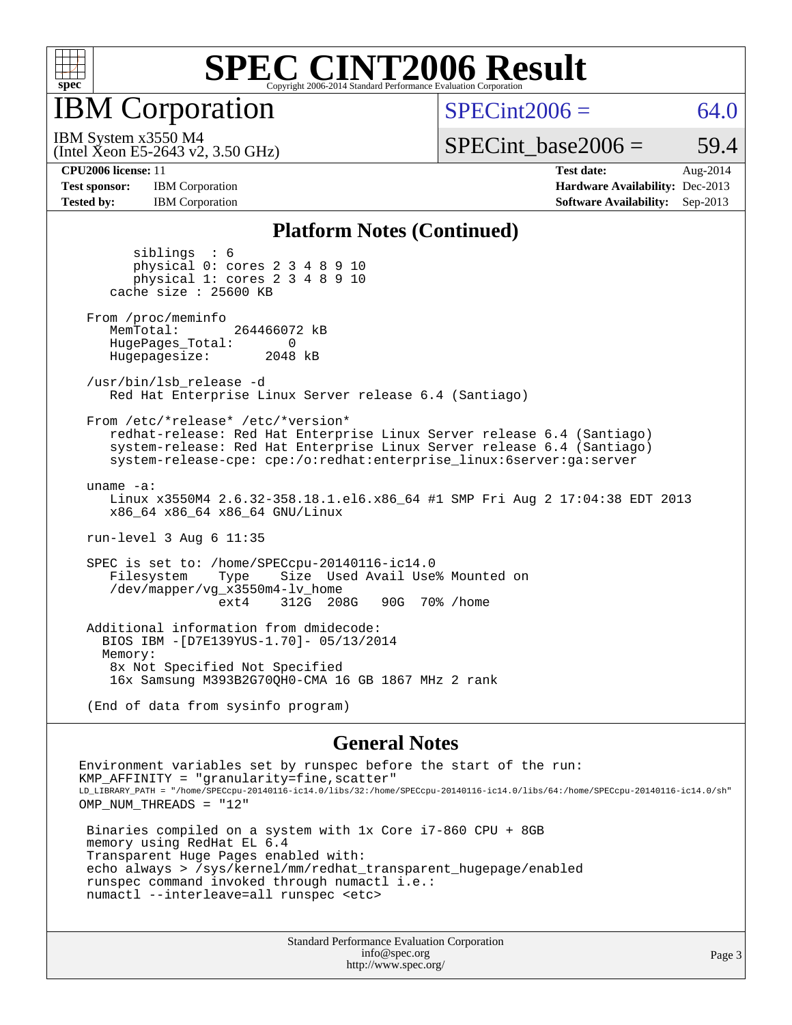

IBM Corporation

 $SPECint2006 = 64.0$  $SPECint2006 = 64.0$ 

(Intel Xeon E5-2643 v2, 3.50 GHz) IBM System x3550 M4

SPECint base2006 =  $59.4$ 

**[Test sponsor:](http://www.spec.org/auto/cpu2006/Docs/result-fields.html#Testsponsor)** IBM Corporation **[Hardware Availability:](http://www.spec.org/auto/cpu2006/Docs/result-fields.html#HardwareAvailability)** Dec-2013

**[CPU2006 license:](http://www.spec.org/auto/cpu2006/Docs/result-fields.html#CPU2006license)** 11 **[Test date:](http://www.spec.org/auto/cpu2006/Docs/result-fields.html#Testdate)** Aug-2014 **[Tested by:](http://www.spec.org/auto/cpu2006/Docs/result-fields.html#Testedby)** IBM Corporation **[Software Availability:](http://www.spec.org/auto/cpu2006/Docs/result-fields.html#SoftwareAvailability)** Sep-2013

#### **[Platform Notes \(Continued\)](http://www.spec.org/auto/cpu2006/Docs/result-fields.html#PlatformNotes)**

 siblings : 6 physical 0: cores 2 3 4 8 9 10 physical 1: cores 2 3 4 8 9 10 cache size : 25600 KB From /proc/meminfo MemTotal: 264466072 kB HugePages\_Total: 0<br>Hugepagesize: 2048 kB Hugepagesize: /usr/bin/lsb\_release -d Red Hat Enterprise Linux Server release 6.4 (Santiago) From /etc/\*release\* /etc/\*version\* redhat-release: Red Hat Enterprise Linux Server release 6.4 (Santiago) system-release: Red Hat Enterprise Linux Server release 6.4 (Santiago) system-release-cpe: cpe:/o:redhat:enterprise\_linux:6server:ga:server uname -a: Linux x3550M4 2.6.32-358.18.1.el6.x86\_64 #1 SMP Fri Aug 2 17:04:38 EDT 2013 x86\_64 x86\_64 x86\_64 GNU/Linux run-level 3 Aug 6 11:35 SPEC is set to: /home/SPECcpu-20140116-ic14.0 Size Used Avail Use% Mounted on /dev/mapper/vg\_x3550m4-lv\_home 312G 208G 90G 70% / home Additional information from dmidecode: BIOS IBM -[D7E139YUS-1.70]- 05/13/2014 Memory: 8x Not Specified Not Specified 16x Samsung M393B2G70QH0-CMA 16 GB 1867 MHz 2 rank (End of data from sysinfo program)

#### **[General Notes](http://www.spec.org/auto/cpu2006/Docs/result-fields.html#GeneralNotes)**

Environment variables set by runspec before the start of the run:  $KMP$  AFFINITY = "granularity=fine, scatter" LD\_LIBRARY\_PATH = "/home/SPECcpu-20140116-ic14.0/libs/32:/home/SPECcpu-20140116-ic14.0/libs/64:/home/SPECcpu-20140116-ic14.0/sh" OMP\_NUM\_THREADS = "12" Binaries compiled on a system with 1x Core i7-860 CPU + 8GB memory using RedHat EL 6.4 Transparent Huge Pages enabled with: echo always > /sys/kernel/mm/redhat\_transparent\_hugepage/enabled runspec command invoked through numactl i.e.: numactl --interleave=all runspec <etc>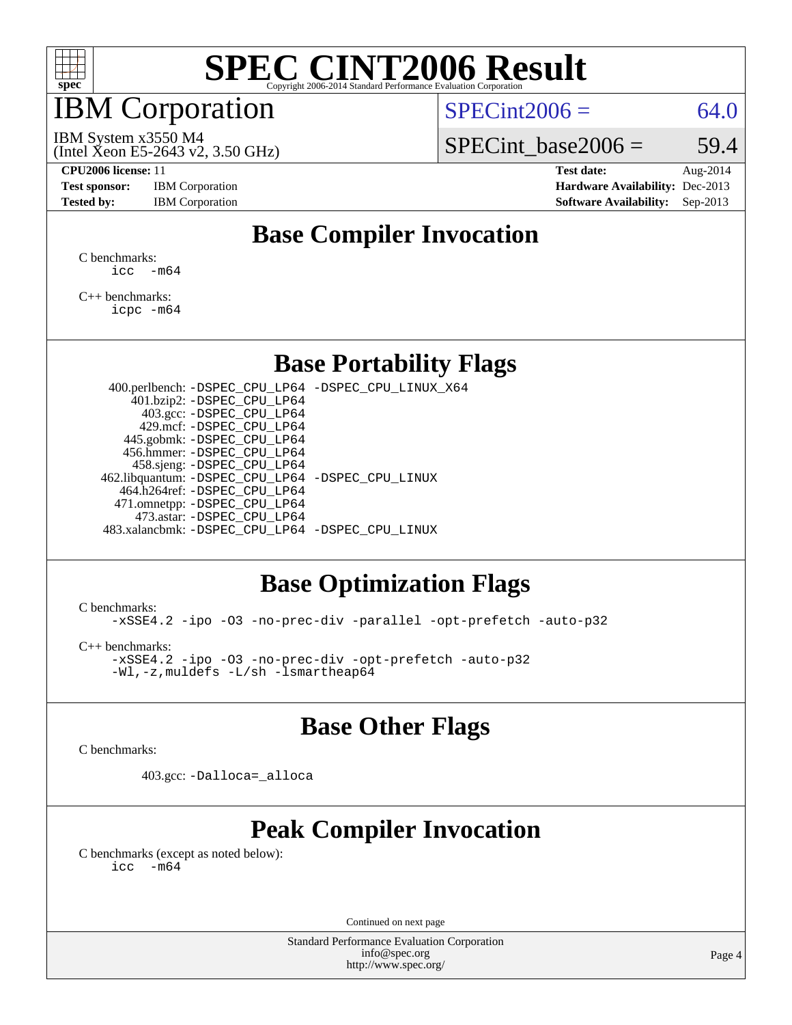

### IBM Corporation

 $SPECint2006 = 64.0$  $SPECint2006 = 64.0$ 

(Intel Xeon E5-2643 v2, 3.50 GHz) IBM System x3550 M4

SPECint base2006 =  $59.4$ 

**[Test sponsor:](http://www.spec.org/auto/cpu2006/Docs/result-fields.html#Testsponsor)** IBM Corporation **[Hardware Availability:](http://www.spec.org/auto/cpu2006/Docs/result-fields.html#HardwareAvailability)** Dec-2013

**[CPU2006 license:](http://www.spec.org/auto/cpu2006/Docs/result-fields.html#CPU2006license)** 11 **[Test date:](http://www.spec.org/auto/cpu2006/Docs/result-fields.html#Testdate)** Aug-2014 [Tested by:](http://www.spec.org/auto/cpu2006/Docs/result-fields.html#Testedby) IBM Corporation **[Software Availability:](http://www.spec.org/auto/cpu2006/Docs/result-fields.html#SoftwareAvailability)** Sep-2013

#### **[Base Compiler Invocation](http://www.spec.org/auto/cpu2006/Docs/result-fields.html#BaseCompilerInvocation)**

[C benchmarks](http://www.spec.org/auto/cpu2006/Docs/result-fields.html#Cbenchmarks):  $\text{icc}$   $-\text{m64}$ 

[C++ benchmarks:](http://www.spec.org/auto/cpu2006/Docs/result-fields.html#CXXbenchmarks) [icpc -m64](http://www.spec.org/cpu2006/results/res2014q3/cpu2006-20140808-30829.flags.html#user_CXXbase_intel_icpc_64bit_fc66a5337ce925472a5c54ad6a0de310)

#### **[Base Portability Flags](http://www.spec.org/auto/cpu2006/Docs/result-fields.html#BasePortabilityFlags)**

 400.perlbench: [-DSPEC\\_CPU\\_LP64](http://www.spec.org/cpu2006/results/res2014q3/cpu2006-20140808-30829.flags.html#b400.perlbench_basePORTABILITY_DSPEC_CPU_LP64) [-DSPEC\\_CPU\\_LINUX\\_X64](http://www.spec.org/cpu2006/results/res2014q3/cpu2006-20140808-30829.flags.html#b400.perlbench_baseCPORTABILITY_DSPEC_CPU_LINUX_X64) 401.bzip2: [-DSPEC\\_CPU\\_LP64](http://www.spec.org/cpu2006/results/res2014q3/cpu2006-20140808-30829.flags.html#suite_basePORTABILITY401_bzip2_DSPEC_CPU_LP64) 403.gcc: [-DSPEC\\_CPU\\_LP64](http://www.spec.org/cpu2006/results/res2014q3/cpu2006-20140808-30829.flags.html#suite_basePORTABILITY403_gcc_DSPEC_CPU_LP64) 429.mcf: [-DSPEC\\_CPU\\_LP64](http://www.spec.org/cpu2006/results/res2014q3/cpu2006-20140808-30829.flags.html#suite_basePORTABILITY429_mcf_DSPEC_CPU_LP64) 445.gobmk: [-DSPEC\\_CPU\\_LP64](http://www.spec.org/cpu2006/results/res2014q3/cpu2006-20140808-30829.flags.html#suite_basePORTABILITY445_gobmk_DSPEC_CPU_LP64) 456.hmmer: [-DSPEC\\_CPU\\_LP64](http://www.spec.org/cpu2006/results/res2014q3/cpu2006-20140808-30829.flags.html#suite_basePORTABILITY456_hmmer_DSPEC_CPU_LP64) 458.sjeng: [-DSPEC\\_CPU\\_LP64](http://www.spec.org/cpu2006/results/res2014q3/cpu2006-20140808-30829.flags.html#suite_basePORTABILITY458_sjeng_DSPEC_CPU_LP64) 462.libquantum: [-DSPEC\\_CPU\\_LP64](http://www.spec.org/cpu2006/results/res2014q3/cpu2006-20140808-30829.flags.html#suite_basePORTABILITY462_libquantum_DSPEC_CPU_LP64) [-DSPEC\\_CPU\\_LINUX](http://www.spec.org/cpu2006/results/res2014q3/cpu2006-20140808-30829.flags.html#b462.libquantum_baseCPORTABILITY_DSPEC_CPU_LINUX) 464.h264ref: [-DSPEC\\_CPU\\_LP64](http://www.spec.org/cpu2006/results/res2014q3/cpu2006-20140808-30829.flags.html#suite_basePORTABILITY464_h264ref_DSPEC_CPU_LP64) 471.omnetpp: [-DSPEC\\_CPU\\_LP64](http://www.spec.org/cpu2006/results/res2014q3/cpu2006-20140808-30829.flags.html#suite_basePORTABILITY471_omnetpp_DSPEC_CPU_LP64) 473.astar: [-DSPEC\\_CPU\\_LP64](http://www.spec.org/cpu2006/results/res2014q3/cpu2006-20140808-30829.flags.html#suite_basePORTABILITY473_astar_DSPEC_CPU_LP64) 483.xalancbmk: [-DSPEC\\_CPU\\_LP64](http://www.spec.org/cpu2006/results/res2014q3/cpu2006-20140808-30829.flags.html#suite_basePORTABILITY483_xalancbmk_DSPEC_CPU_LP64) [-DSPEC\\_CPU\\_LINUX](http://www.spec.org/cpu2006/results/res2014q3/cpu2006-20140808-30829.flags.html#b483.xalancbmk_baseCXXPORTABILITY_DSPEC_CPU_LINUX)

#### **[Base Optimization Flags](http://www.spec.org/auto/cpu2006/Docs/result-fields.html#BaseOptimizationFlags)**

[C benchmarks](http://www.spec.org/auto/cpu2006/Docs/result-fields.html#Cbenchmarks):

[-xSSE4.2](http://www.spec.org/cpu2006/results/res2014q3/cpu2006-20140808-30829.flags.html#user_CCbase_f-xSSE42_f91528193cf0b216347adb8b939d4107) [-ipo](http://www.spec.org/cpu2006/results/res2014q3/cpu2006-20140808-30829.flags.html#user_CCbase_f-ipo) [-O3](http://www.spec.org/cpu2006/results/res2014q3/cpu2006-20140808-30829.flags.html#user_CCbase_f-O3) [-no-prec-div](http://www.spec.org/cpu2006/results/res2014q3/cpu2006-20140808-30829.flags.html#user_CCbase_f-no-prec-div) [-parallel](http://www.spec.org/cpu2006/results/res2014q3/cpu2006-20140808-30829.flags.html#user_CCbase_f-parallel) [-opt-prefetch](http://www.spec.org/cpu2006/results/res2014q3/cpu2006-20140808-30829.flags.html#user_CCbase_f-opt-prefetch) [-auto-p32](http://www.spec.org/cpu2006/results/res2014q3/cpu2006-20140808-30829.flags.html#user_CCbase_f-auto-p32)

[C++ benchmarks:](http://www.spec.org/auto/cpu2006/Docs/result-fields.html#CXXbenchmarks)

[-xSSE4.2](http://www.spec.org/cpu2006/results/res2014q3/cpu2006-20140808-30829.flags.html#user_CXXbase_f-xSSE42_f91528193cf0b216347adb8b939d4107) [-ipo](http://www.spec.org/cpu2006/results/res2014q3/cpu2006-20140808-30829.flags.html#user_CXXbase_f-ipo) [-O3](http://www.spec.org/cpu2006/results/res2014q3/cpu2006-20140808-30829.flags.html#user_CXXbase_f-O3) [-no-prec-div](http://www.spec.org/cpu2006/results/res2014q3/cpu2006-20140808-30829.flags.html#user_CXXbase_f-no-prec-div) [-opt-prefetch](http://www.spec.org/cpu2006/results/res2014q3/cpu2006-20140808-30829.flags.html#user_CXXbase_f-opt-prefetch) [-auto-p32](http://www.spec.org/cpu2006/results/res2014q3/cpu2006-20140808-30829.flags.html#user_CXXbase_f-auto-p32) [-Wl,-z,muldefs](http://www.spec.org/cpu2006/results/res2014q3/cpu2006-20140808-30829.flags.html#user_CXXbase_link_force_multiple1_74079c344b956b9658436fd1b6dd3a8a) [-L/sh -lsmartheap64](http://www.spec.org/cpu2006/results/res2014q3/cpu2006-20140808-30829.flags.html#user_CXXbase_SmartHeap64_ed4ef857ce90951921efb0d91eb88472)

#### **[Base Other Flags](http://www.spec.org/auto/cpu2006/Docs/result-fields.html#BaseOtherFlags)**

[C benchmarks](http://www.spec.org/auto/cpu2006/Docs/result-fields.html#Cbenchmarks):

403.gcc: [-Dalloca=\\_alloca](http://www.spec.org/cpu2006/results/res2014q3/cpu2006-20140808-30829.flags.html#b403.gcc_baseEXTRA_CFLAGS_Dalloca_be3056838c12de2578596ca5467af7f3)

### **[Peak Compiler Invocation](http://www.spec.org/auto/cpu2006/Docs/result-fields.html#PeakCompilerInvocation)**

[C benchmarks \(except as noted below\)](http://www.spec.org/auto/cpu2006/Docs/result-fields.html#Cbenchmarksexceptasnotedbelow):  $\text{icc}$  -m64

Continued on next page

Standard Performance Evaluation Corporation [info@spec.org](mailto:info@spec.org) <http://www.spec.org/>

Page 4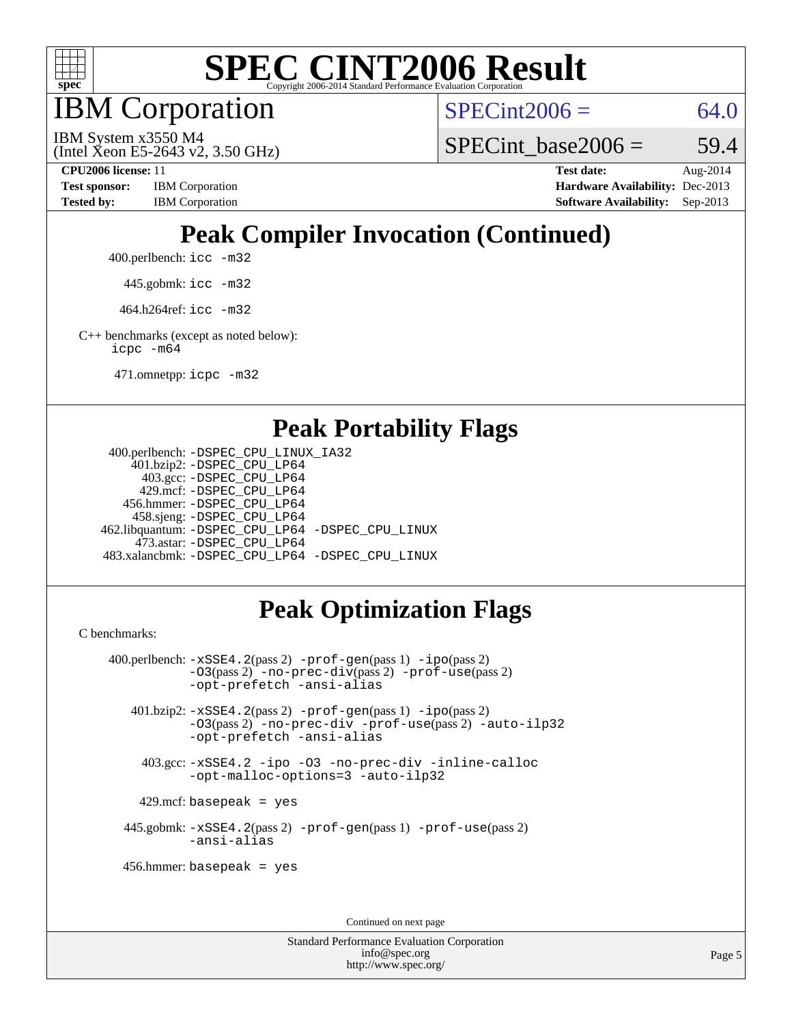

IBM Corporation

 $SPECint2006 = 64.0$  $SPECint2006 = 64.0$ 

(Intel Xeon E5-2643 v2, 3.50 GHz) IBM System x3550 M4

SPECint base2006 =  $59.4$ 

**[CPU2006 license:](http://www.spec.org/auto/cpu2006/Docs/result-fields.html#CPU2006license)** 11 **[Test date:](http://www.spec.org/auto/cpu2006/Docs/result-fields.html#Testdate)** Aug-2014 **[Test sponsor:](http://www.spec.org/auto/cpu2006/Docs/result-fields.html#Testsponsor)** IBM Corporation **[Hardware Availability:](http://www.spec.org/auto/cpu2006/Docs/result-fields.html#HardwareAvailability)** Dec-2013 **[Tested by:](http://www.spec.org/auto/cpu2006/Docs/result-fields.html#Testedby)** IBM Corporation **[Software Availability:](http://www.spec.org/auto/cpu2006/Docs/result-fields.html#SoftwareAvailability)** Sep-2013

## **[Peak Compiler Invocation \(Continued\)](http://www.spec.org/auto/cpu2006/Docs/result-fields.html#PeakCompilerInvocation)**

400.perlbench: [icc -m32](http://www.spec.org/cpu2006/results/res2014q3/cpu2006-20140808-30829.flags.html#user_peakCCLD400_perlbench_intel_icc_a6a621f8d50482236b970c6ac5f55f93)

445.gobmk: [icc -m32](http://www.spec.org/cpu2006/results/res2014q3/cpu2006-20140808-30829.flags.html#user_peakCCLD445_gobmk_intel_icc_a6a621f8d50482236b970c6ac5f55f93)

464.h264ref: [icc -m32](http://www.spec.org/cpu2006/results/res2014q3/cpu2006-20140808-30829.flags.html#user_peakCCLD464_h264ref_intel_icc_a6a621f8d50482236b970c6ac5f55f93)

[C++ benchmarks \(except as noted below\):](http://www.spec.org/auto/cpu2006/Docs/result-fields.html#CXXbenchmarksexceptasnotedbelow) [icpc -m64](http://www.spec.org/cpu2006/results/res2014q3/cpu2006-20140808-30829.flags.html#user_CXXpeak_intel_icpc_64bit_fc66a5337ce925472a5c54ad6a0de310)

471.omnetpp: [icpc -m32](http://www.spec.org/cpu2006/results/res2014q3/cpu2006-20140808-30829.flags.html#user_peakCXXLD471_omnetpp_intel_icpc_4e5a5ef1a53fd332b3c49e69c3330699)

#### **[Peak Portability Flags](http://www.spec.org/auto/cpu2006/Docs/result-fields.html#PeakPortabilityFlags)**

 400.perlbench: [-DSPEC\\_CPU\\_LINUX\\_IA32](http://www.spec.org/cpu2006/results/res2014q3/cpu2006-20140808-30829.flags.html#b400.perlbench_peakCPORTABILITY_DSPEC_CPU_LINUX_IA32) 401.bzip2: [-DSPEC\\_CPU\\_LP64](http://www.spec.org/cpu2006/results/res2014q3/cpu2006-20140808-30829.flags.html#suite_peakPORTABILITY401_bzip2_DSPEC_CPU_LP64) 403.gcc: [-DSPEC\\_CPU\\_LP64](http://www.spec.org/cpu2006/results/res2014q3/cpu2006-20140808-30829.flags.html#suite_peakPORTABILITY403_gcc_DSPEC_CPU_LP64) 429.mcf: [-DSPEC\\_CPU\\_LP64](http://www.spec.org/cpu2006/results/res2014q3/cpu2006-20140808-30829.flags.html#suite_peakPORTABILITY429_mcf_DSPEC_CPU_LP64) 456.hmmer: [-DSPEC\\_CPU\\_LP64](http://www.spec.org/cpu2006/results/res2014q3/cpu2006-20140808-30829.flags.html#suite_peakPORTABILITY456_hmmer_DSPEC_CPU_LP64) 458.sjeng: [-DSPEC\\_CPU\\_LP64](http://www.spec.org/cpu2006/results/res2014q3/cpu2006-20140808-30829.flags.html#suite_peakPORTABILITY458_sjeng_DSPEC_CPU_LP64) 462.libquantum: [-DSPEC\\_CPU\\_LP64](http://www.spec.org/cpu2006/results/res2014q3/cpu2006-20140808-30829.flags.html#suite_peakPORTABILITY462_libquantum_DSPEC_CPU_LP64) [-DSPEC\\_CPU\\_LINUX](http://www.spec.org/cpu2006/results/res2014q3/cpu2006-20140808-30829.flags.html#b462.libquantum_peakCPORTABILITY_DSPEC_CPU_LINUX) 473.astar: [-DSPEC\\_CPU\\_LP64](http://www.spec.org/cpu2006/results/res2014q3/cpu2006-20140808-30829.flags.html#suite_peakPORTABILITY473_astar_DSPEC_CPU_LP64) 483.xalancbmk: [-DSPEC\\_CPU\\_LP64](http://www.spec.org/cpu2006/results/res2014q3/cpu2006-20140808-30829.flags.html#suite_peakPORTABILITY483_xalancbmk_DSPEC_CPU_LP64) [-DSPEC\\_CPU\\_LINUX](http://www.spec.org/cpu2006/results/res2014q3/cpu2006-20140808-30829.flags.html#b483.xalancbmk_peakCXXPORTABILITY_DSPEC_CPU_LINUX)

### **[Peak Optimization Flags](http://www.spec.org/auto/cpu2006/Docs/result-fields.html#PeakOptimizationFlags)**

[C benchmarks](http://www.spec.org/auto/cpu2006/Docs/result-fields.html#Cbenchmarks):

 400.perlbench: [-xSSE4.2](http://www.spec.org/cpu2006/results/res2014q3/cpu2006-20140808-30829.flags.html#user_peakPASS2_CFLAGSPASS2_LDCFLAGS400_perlbench_f-xSSE42_f91528193cf0b216347adb8b939d4107)(pass 2) [-prof-gen](http://www.spec.org/cpu2006/results/res2014q3/cpu2006-20140808-30829.flags.html#user_peakPASS1_CFLAGSPASS1_LDCFLAGS400_perlbench_prof_gen_e43856698f6ca7b7e442dfd80e94a8fc)(pass 1) [-ipo](http://www.spec.org/cpu2006/results/res2014q3/cpu2006-20140808-30829.flags.html#user_peakPASS2_CFLAGSPASS2_LDCFLAGS400_perlbench_f-ipo)(pass 2) [-O3](http://www.spec.org/cpu2006/results/res2014q3/cpu2006-20140808-30829.flags.html#user_peakPASS2_CFLAGSPASS2_LDCFLAGS400_perlbench_f-O3)(pass 2) [-no-prec-div](http://www.spec.org/cpu2006/results/res2014q3/cpu2006-20140808-30829.flags.html#user_peakPASS2_CFLAGSPASS2_LDCFLAGS400_perlbench_f-no-prec-div)(pass 2) [-prof-use](http://www.spec.org/cpu2006/results/res2014q3/cpu2006-20140808-30829.flags.html#user_peakPASS2_CFLAGSPASS2_LDCFLAGS400_perlbench_prof_use_bccf7792157ff70d64e32fe3e1250b55)(pass 2) [-opt-prefetch](http://www.spec.org/cpu2006/results/res2014q3/cpu2006-20140808-30829.flags.html#user_peakCOPTIMIZE400_perlbench_f-opt-prefetch) [-ansi-alias](http://www.spec.org/cpu2006/results/res2014q3/cpu2006-20140808-30829.flags.html#user_peakCOPTIMIZE400_perlbench_f-ansi-alias) 401.bzip2: [-xSSE4.2](http://www.spec.org/cpu2006/results/res2014q3/cpu2006-20140808-30829.flags.html#user_peakPASS2_CFLAGSPASS2_LDCFLAGS401_bzip2_f-xSSE42_f91528193cf0b216347adb8b939d4107)(pass 2) [-prof-gen](http://www.spec.org/cpu2006/results/res2014q3/cpu2006-20140808-30829.flags.html#user_peakPASS1_CFLAGSPASS1_LDCFLAGS401_bzip2_prof_gen_e43856698f6ca7b7e442dfd80e94a8fc)(pass 1) [-ipo](http://www.spec.org/cpu2006/results/res2014q3/cpu2006-20140808-30829.flags.html#user_peakPASS2_CFLAGSPASS2_LDCFLAGS401_bzip2_f-ipo)(pass 2) [-O3](http://www.spec.org/cpu2006/results/res2014q3/cpu2006-20140808-30829.flags.html#user_peakPASS2_CFLAGSPASS2_LDCFLAGS401_bzip2_f-O3)(pass 2) [-no-prec-div](http://www.spec.org/cpu2006/results/res2014q3/cpu2006-20140808-30829.flags.html#user_peakCOPTIMIZEPASS2_CFLAGSPASS2_LDCFLAGS401_bzip2_f-no-prec-div) [-prof-use](http://www.spec.org/cpu2006/results/res2014q3/cpu2006-20140808-30829.flags.html#user_peakPASS2_CFLAGSPASS2_LDCFLAGS401_bzip2_prof_use_bccf7792157ff70d64e32fe3e1250b55)(pass 2) [-auto-ilp32](http://www.spec.org/cpu2006/results/res2014q3/cpu2006-20140808-30829.flags.html#user_peakCOPTIMIZE401_bzip2_f-auto-ilp32) [-opt-prefetch](http://www.spec.org/cpu2006/results/res2014q3/cpu2006-20140808-30829.flags.html#user_peakCOPTIMIZE401_bzip2_f-opt-prefetch) [-ansi-alias](http://www.spec.org/cpu2006/results/res2014q3/cpu2006-20140808-30829.flags.html#user_peakCOPTIMIZE401_bzip2_f-ansi-alias) 403.gcc: [-xSSE4.2](http://www.spec.org/cpu2006/results/res2014q3/cpu2006-20140808-30829.flags.html#user_peakCOPTIMIZE403_gcc_f-xSSE42_f91528193cf0b216347adb8b939d4107) [-ipo](http://www.spec.org/cpu2006/results/res2014q3/cpu2006-20140808-30829.flags.html#user_peakCOPTIMIZE403_gcc_f-ipo) [-O3](http://www.spec.org/cpu2006/results/res2014q3/cpu2006-20140808-30829.flags.html#user_peakCOPTIMIZE403_gcc_f-O3) [-no-prec-div](http://www.spec.org/cpu2006/results/res2014q3/cpu2006-20140808-30829.flags.html#user_peakCOPTIMIZE403_gcc_f-no-prec-div) [-inline-calloc](http://www.spec.org/cpu2006/results/res2014q3/cpu2006-20140808-30829.flags.html#user_peakCOPTIMIZE403_gcc_f-inline-calloc) [-opt-malloc-options=3](http://www.spec.org/cpu2006/results/res2014q3/cpu2006-20140808-30829.flags.html#user_peakCOPTIMIZE403_gcc_f-opt-malloc-options_13ab9b803cf986b4ee62f0a5998c2238) [-auto-ilp32](http://www.spec.org/cpu2006/results/res2014q3/cpu2006-20140808-30829.flags.html#user_peakCOPTIMIZE403_gcc_f-auto-ilp32)  $429$ .mcf: basepeak = yes 445.gobmk: [-xSSE4.2](http://www.spec.org/cpu2006/results/res2014q3/cpu2006-20140808-30829.flags.html#user_peakPASS2_CFLAGSPASS2_LDCFLAGS445_gobmk_f-xSSE42_f91528193cf0b216347adb8b939d4107)(pass 2) [-prof-gen](http://www.spec.org/cpu2006/results/res2014q3/cpu2006-20140808-30829.flags.html#user_peakPASS1_CFLAGSPASS1_LDCFLAGS445_gobmk_prof_gen_e43856698f6ca7b7e442dfd80e94a8fc)(pass 1) [-prof-use](http://www.spec.org/cpu2006/results/res2014q3/cpu2006-20140808-30829.flags.html#user_peakPASS2_CFLAGSPASS2_LDCFLAGS445_gobmk_prof_use_bccf7792157ff70d64e32fe3e1250b55)(pass 2) [-ansi-alias](http://www.spec.org/cpu2006/results/res2014q3/cpu2006-20140808-30829.flags.html#user_peakCOPTIMIZE445_gobmk_f-ansi-alias) 456.hmmer: basepeak = yes

Continued on next page